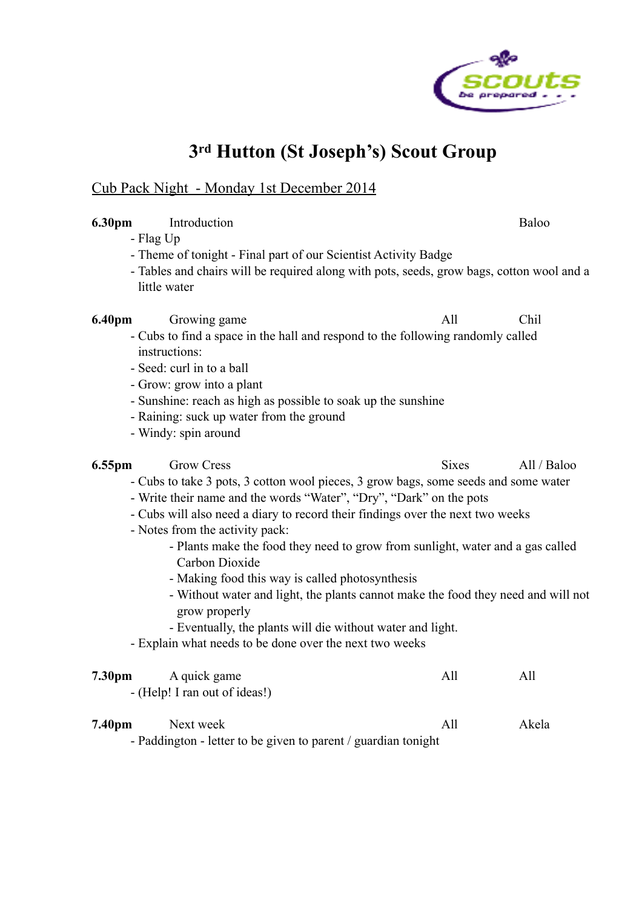

## **3rd Hutton (St Joseph's) Scout Group**

#### Cub Pack Night - Monday 1st December 2014

#### **6.30pm** Introduction Baloo

#### - Flag Up

- Theme of tonight Final part of our Scientist Activity Badge
- Tables and chairs will be required along with pots, seeds, grow bags, cotton wool and a little water

**6.40pm** Growing game All Chil

- Cubs to find a space in the hall and respond to the following randomly called instructions:
- Seed: curl in to a ball
- Grow: grow into a plant
- Sunshine: reach as high as possible to soak up the sunshine
- Raining: suck up water from the ground
- Windy: spin around

## **6.55pm** Grow Cress Sixes All / Baloo

- Cubs to take 3 pots, 3 cotton wool pieces, 3 grow bags, some seeds and some water
- Write their name and the words "Water", "Dry", "Dark" on the pots
- Cubs will also need a diary to record their findings over the next two weeks
- Notes from the activity pack:
	- Plants make the food they need to grow from sunlight, water and a gas called Carbon Dioxide
	- Making food this way is called photosynthesis
	- Without water and light, the plants cannot make the food they need and will not grow properly
	- Eventually, the plants will die without water and light.
- Explain what needs to be done over the next two weeks

| 7.30 <sub>pm</sub> | A quick game                  | All | All |
|--------------------|-------------------------------|-----|-----|
|                    | - (Help! I ran out of ideas!) |     |     |

## **7.40pm** Next week All Akela

- Paddington - letter to be given to parent / guardian tonight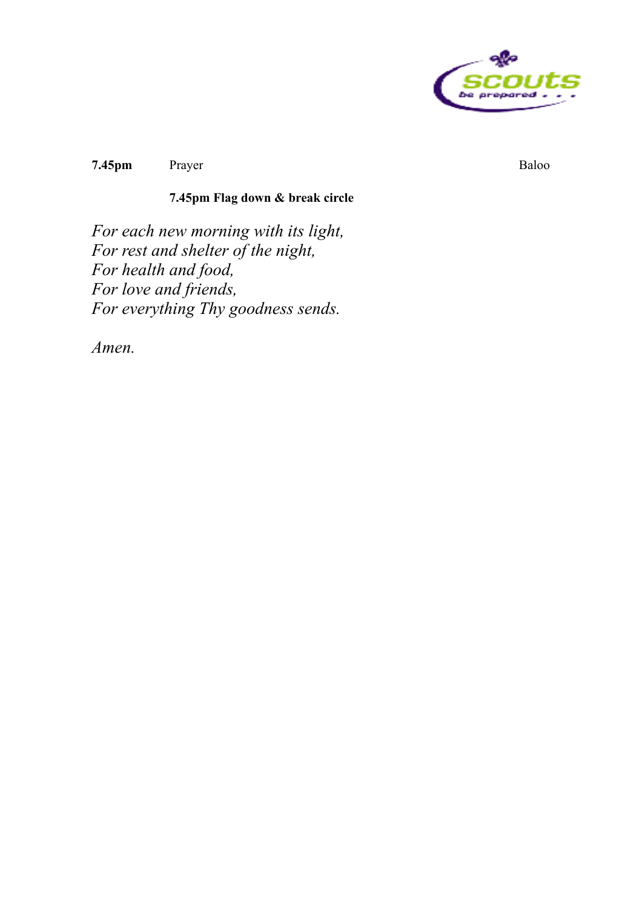

**7.45pm** Prayer Baloo

### **7.45pm Flag down & break circle**

*For each new morning with its light, For rest and shelter of the night, For health and food, For love and friends, For everything Thy goodness sends.* 

*Amen.*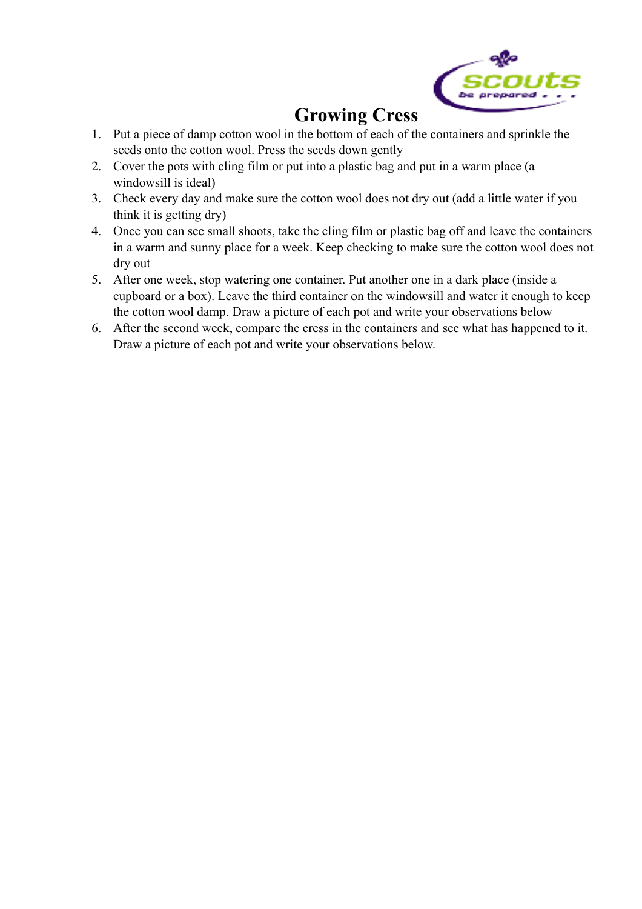

# **Growing Cress**

- 1. Put a piece of damp cotton wool in the bottom of each of the containers and sprinkle the seeds onto the cotton wool. Press the seeds down gently
- 2. Cover the pots with cling film or put into a plastic bag and put in a warm place (a windowsill is ideal)
- 3. Check every day and make sure the cotton wool does not dry out (add a little water if you think it is getting dry)
- 4. Once you can see small shoots, take the cling film or plastic bag off and leave the containers in a warm and sunny place for a week. Keep checking to make sure the cotton wool does not dry out
- 5. After one week, stop watering one container. Put another one in a dark place (inside a cupboard or a box). Leave the third container on the windowsill and water it enough to keep the cotton wool damp. Draw a picture of each pot and write your observations below
- 6. After the second week, compare the cress in the containers and see what has happened to it. Draw a picture of each pot and write your observations below.